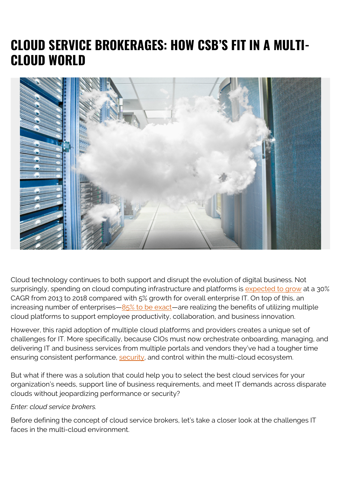# **CLOUD SERVICE BROKERAGES: HOW CSB'S FIT IN A MULTI-CLOUD WORLD**



Cloud technology continues to both support and disrupt the evolution of digital business. Not surprisingly, spending on cloud computing infrastructure and platforms is [expected to grow](http://www.investors.com/news/technology/amazon-aws-leads-in-cloud-msft-googl-crm-rising/) at a 30% CAGR from 2013 to 2018 compared with 5% growth for overall enterprise IT. On top of this, an increasing number of enterprises $-\frac{85}{6}$  to be exact—are realizing the benefits of utilizing multiple cloud platforms to support employee productivity, collaboration, and business innovation.

However, this rapid adoption of multiple cloud platforms and providers creates a unique set of challenges for IT. More specifically, because CIOs must now orchestrate onboarding, managing, and delivering IT and business services from multiple portals and vendors they've had a tougher time ensuring consistent performance, [security](https://blogs.bmc.com/blogs/security-vulnerability-vs-threat-vs-risk-whats-difference/), and control within the multi-cloud ecosystem.

But what if there was a solution that could help you to select the best cloud services for your organization's needs, support line of business requirements, and meet IT demands across disparate clouds without jeopardizing performance or security?

#### *Enter: cloud service brokers.*

Before defining the concept of cloud service brokers, let's take a closer look at the challenges IT faces in the multi-cloud environment.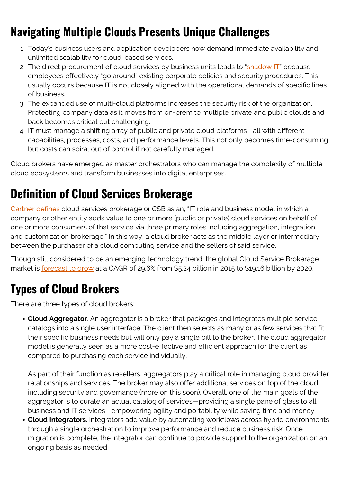# **Navigating Multiple Clouds Presents Unique Challenges**

- 1. Today's business users and application developers now demand immediate availability and unlimited scalability for cloud-based services.
- 2. The direct procurement of cloud services by business units leads to ["shadow IT](https://blogs.bmc.com/blogs/what-is-shadow-it-shadow-it-explained/)" because employees effectively "go around" existing corporate policies and security procedures. This usually occurs because IT is not closely aligned with the operational demands of specific lines of business.
- 3. The expanded use of multi-cloud platforms increases the security risk of the organization. Protecting company data as it moves from on-prem to multiple private and public clouds and back becomes critical but challenging.
- 4. IT must manage a shifting array of public and private cloud platforms—all with different capabilities, processes, costs, and performance levels. This not only becomes time-consuming but costs can spiral out of control if not carefully managed.

Cloud brokers have emerged as master orchestrators who can manage the complexity of multiple cloud ecosystems and transform businesses into digital enterprises.

## **Definition of Cloud Services Brokerage**

[Gartner defines](http://www.gartner.com/it-glossary/cloud-services-brokerage-csb/) cloud services brokerage or CSB as an, "IT role and business model in which a company or other entity adds value to one or more (public or private) cloud services on behalf of one or more consumers of that service via three primary roles including aggregation, integration, and customization brokerage." In this way, a cloud broker acts as the middle layer or intermediary between the purchaser of a cloud computing service and the sellers of said service.

Though still considered to be an emerging technology trend, the global Cloud Service Brokerage market is **forecast to grow** at a CAGR of 29.6% from \$5.24 billion in 2015 to \$19.16 billion by 2020.

# **Types of Cloud Brokers**

There are three types of cloud brokers:

**Cloud Aggregator**. An aggregator is a broker that packages and integrates multiple service catalogs into a single user interface. The client then selects as many or as few services that fit their specific business needs but will only pay a single bill to the broker. The cloud aggregator model is generally seen as a more cost-effective and efficient approach for the client as compared to purchasing each service individually.

As part of their function as resellers, aggregators play a critical role in managing cloud provider relationships and services. The broker may also offer additional services on top of the cloud including security and governance (more on this soon). Overall, one of the main goals of the aggregator is to curate an actual catalog of services—providing a single pane of glass to all business and IT services—empowering agility and portability while saving time and money.

**Cloud Integrators**. Integrators add value by automating workflows across hybrid environments through a single orchestration to improve performance and reduce business risk. Once migration is complete, the integrator can continue to provide support to the organization on an ongoing basis as needed.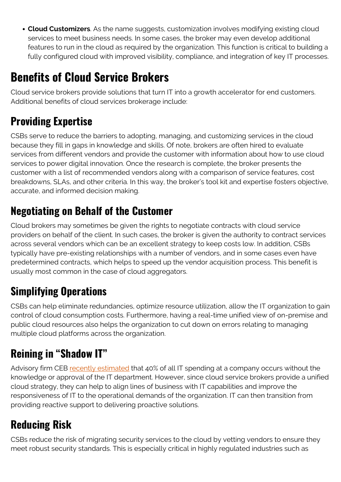**Cloud Customizers**. As the name suggests, customization involves modifying existing cloud services to meet business needs. In some cases, the broker may even develop additional features to run in the cloud as required by the organization. This function is critical to building a fully configured cloud with improved visibility, compliance, and integration of key IT processes.

# **Benefits of Cloud Service Brokers**

Cloud service brokers provide solutions that turn IT into a growth accelerator for end customers. Additional benefits of cloud services brokerage include:

## **Providing Expertise**

CSBs serve to reduce the barriers to adopting, managing, and customizing services in the cloud because they fill in gaps in knowledge and skills. Of note, brokers are often hired to evaluate services from different vendors and provide the customer with information about how to use cloud services to power digital innovation. Once the research is complete, the broker presents the customer with a list of recommended vendors along with a comparison of service features, cost breakdowns, SLAs, and other criteria. In this way, the broker's tool kit and expertise fosters objective, accurate, and informed decision making.

#### **Negotiating on Behalf of the Customer**

Cloud brokers may sometimes be given the rights to negotiate contracts with cloud service providers on behalf of the client. In such cases, the broker is given the authority to contract services across several vendors which can be an excellent strategy to keep costs low. In addition, CSBs typically have pre-existing relationships with a number of vendors, and in some cases even have predetermined contracts, which helps to speed up the vendor acquisition process. This benefit is usually most common in the case of cloud aggregators.

### **Simplifying Operations**

CSBs can help eliminate redundancies, optimize resource utilization, allow the IT organization to gain control of cloud consumption costs. Furthermore, having a real-time unified view of on-premise and public cloud resources also helps the organization to cut down on errors relating to managing multiple cloud platforms across the organization.

## **Reining in "Shadow IT"**

Advisory firm CEB [recently estimated](https://www.forbes.com/sites/tomgroenfeldt/2013/12/02/40-percent-of-it-spending-is-outside-cio-control/) that 40% of all IT spending at a company occurs without the knowledge or approval of the IT department. However, since cloud service brokers provide a unified cloud strategy, they can help to align lines of business with IT capabilities and improve the responsiveness of IT to the operational demands of the organization. IT can then transition from providing reactive support to delivering proactive solutions.

#### **Reducing Risk**

CSBs reduce the risk of migrating security services to the cloud by vetting vendors to ensure they meet robust security standards. This is especially critical in highly regulated industries such as